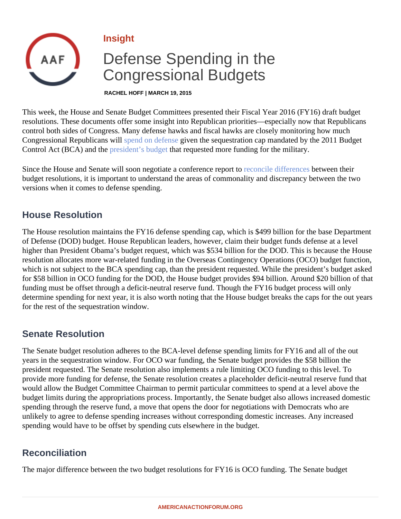Insight

# Defense Spending in the Congressional Budgets

RACHEL HOFF | MARCH 19, 2015

This week, the House and Senate Budget Committees presented their Fiscal Year 2016 (FY16) draft budget resolutions. These documents offer some insight into Republican priorities—especially now that Republicans control both sides of Congress. Many defense hawks and fiscal hawks are closely monitoring how much Congressional Republicans with end on defense yen the sequestration cap mandated by the 2011 Budget ControlAct (BCA) and thoresident's budgethat requested more funding for the military.

Sincethe House and Senate will soon negotiate a conference report toile difference between their budget resolutions, it is important to understand the areas of commonality and discrepancy between the two versions when it comes to defense spending.

### House Resolution

The House resolution maintains the FY16 defense spending cap, which is \$499 billion for the base Departme of Defense (DOD) budget. House Republican leaders, however, claim their budget funds defense at a level higher than President Obama's budget request, which was \$534 billion for the DOD. This is because the Hou resolution allocates more war-related funding in the Overseas Contingency Operations (OCO) budget function which is not subject to the BCA spending cap, than the president requested. While the president's budget ask for \$58 billion in OCO funding for the DOD, the House budget provides \$94 billion. Around \$20 billion of that funding must be offset through a deficit-neutral reserve fund. Though the FY16 budget process will only determine spending for next year, it is also worth noting that the House budget breaks the caps for the out ye for the rest of the sequestration window.

### Senate Resolution

The Senate budget resolution adheres to the BCA-level defense spending limits for FY16 and all of the out years in the sequestration window. For OCO war funding, the Senate budget provides the \$58 billion the president requested. The Senate resolution also implements a rule limiting OCO funding to this level. To provide more funding for defense, the Senate resolution creates a placeholder deficit-neutral reserve fund tha would allow the Budget Committee Chairman to permit particular committees to spend at a level above the budget limits during the appropriations process. Importantly, the Senate budget also allows increased domestical spending through the reserve fund, a move that opens the door for negotiations with Democrats who are unlikely to agree to defense spending increases without corresponding domestic increases. Any increased spending would have to be offset by spending cuts elsewhere in the budget.

# Reconciliation

The major difference between the two budget resolutions for FY16 is OCO funding. The Senate budget